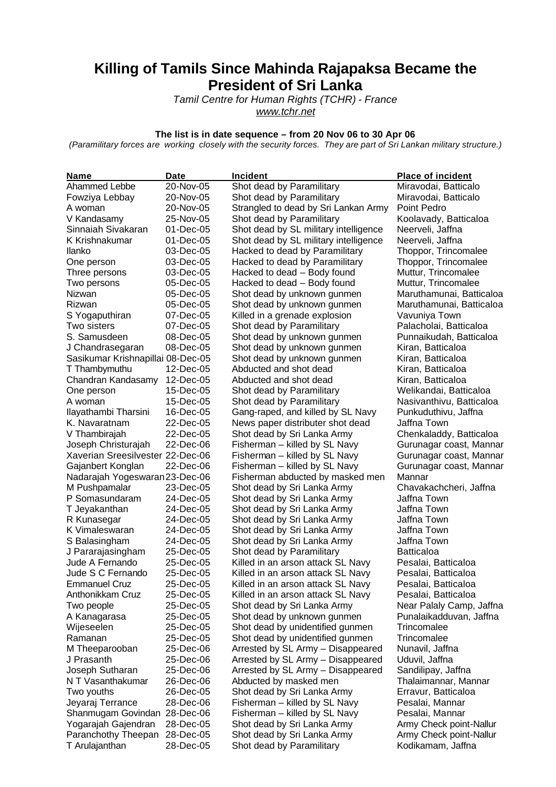## **Killing of Tamils Since Mahinda Rajapaksa Became the President of Sri Lanka**

*Tamil Centre for Human Rights (TCHR) - France www.tchr.net*

## **The list is in date sequence – from 20 Nov 06 to 30 Apr 06**

*(Paramilitary forces are working closely with the security forces. They are part of Sri Lankan military structure.)*

| Name                              | <b>Date</b> | <b>Incident</b>                       | <b>Place of incident</b> |
|-----------------------------------|-------------|---------------------------------------|--------------------------|
| Ahammed Lebbe                     | 20-Nov-05   | Shot dead by Paramilitary             | Miravodai, Batticalo     |
| Fowziya Lebbay                    | 20-Nov-05   | Shot dead by Paramilitary             | Miravodai, Batticalo     |
| A woman                           | 20-Nov-05   | Strangled to dead by Sri Lankan Army  | Point Pedro              |
| V Kandasamy                       | 25-Nov-05   | Shot dead by Paramilitary             | Koolavady, Batticaloa    |
| Sinnaiah Sivakaran                | 01-Dec-05   | Shot dead by SL military intelligence | Neerveli, Jaffna         |
| K Krishnakumar                    | 01-Dec-05   | Shot dead by SL military intelligence | Neerveli, Jaffna         |
| Ilanko                            | 03-Dec-05   | Hacked to dead by Paramilitary        | Thoppor, Trincomalee     |
| One person                        | 03-Dec-05   | Hacked to dead by Paramilitary        | Thoppor, Trincomalee     |
| Three persons                     | 03-Dec-05   | Hacked to dead - Body found           | Muttur, Trincomalee      |
| Two persons                       | 05-Dec-05   | Hacked to dead - Body found           | Muttur, Trincomalee      |
| Nizwan                            | 05-Dec-05   | Shot dead by unknown gunmen           | Maruthamunai, Batticaloa |
| Rizwan                            | 05-Dec-05   | Shot dead by unknown gunmen           | Maruthamunai, Batticaloa |
| S Yogaputhiran                    | 07-Dec-05   | Killed in a grenade explosion         | Vavuniya Town            |
| Two sisters                       | 07-Dec-05   | Shot dead by Paramilitary             | Palacholai, Batticaloa   |
| S. Samusdeen                      | 08-Dec-05   | Shot dead by unknown gunmen           | Punnaikudah, Batticaloa  |
| J Chandrasegaran                  | 08-Dec-05   | Shot dead by unknown gunmen           | Kiran, Batticaloa        |
| Sasikumar Krishnapillai 08-Dec-05 |             | Shot dead by unknown gunmen           | Kiran, Batticaloa        |
| T Thambymuthu                     | 12-Dec-05   | Abducted and shot dead                | Kiran, Batticaloa        |
| Chandran Kandasamy                | 12-Dec-05   | Abducted and shot dead                | Kiran, Batticaloa        |
| One person                        | 15-Dec-05   | Shot dead by Paramilitary             | Welikandai, Batticaloa   |
| A woman                           | 15-Dec-05   | Shot dead by Paramilitary             | Nasivanthivu, Batticaloa |
| Ilayathambi Tharsini              | 16-Dec-05   | Gang-raped, and killed by SL Navy     | Punkuduthivu, Jaffna     |
| K. Navaratnam                     | 22-Dec-05   | News paper distributer shot dead      | Jaffna Town              |
| V Thambirajah                     | 22-Dec-05   | Shot dead by Sri Lanka Army           | Chenkaladdy, Batticaloa  |
| Joseph Christurajah               | 22-Dec-06   | Fisherman - killed by SL Navy         | Gurunagar coast, Mannar  |
| Xaverian Sreesilvester 22-Dec-06  |             | Fisherman - killed by SL Navy         | Gurunagar coast, Mannar  |
| Gajanbert Konglan                 | 22-Dec-06   | Fisherman - killed by SL Navy         | Gurunagar coast, Mannar  |
| Nadarajah Yogeswaran 23-Dec-06    |             | Fisherman abducted by masked men      | Mannar                   |
| M Pushpamalar                     | 23-Dec-05   | Shot dead by Sri Lanka Army           | Chavakachcheri, Jaffna   |
| P Somasundaram                    | 24-Dec-05   | Shot dead by Sri Lanka Army           | Jaffna Town              |
| T Jeyakanthan                     | 24-Dec-05   | Shot dead by Sri Lanka Army           | Jaffna Town              |
| R Kunasegar                       | 24-Dec-05   | Shot dead by Sri Lanka Army           | Jaffna Town              |
| K Vimaleswaran                    | 24-Dec-05   | Shot dead by Sri Lanka Army           | Jaffna Town              |
| S Balasingham                     | 24-Dec-05   | Shot dead by Sri Lanka Army           | Jaffna Town              |
| J Pararajasingham                 | 25-Dec-05   | Shot dead by Paramilitary             | <b>Batticaloa</b>        |
| Jude A Fernando                   | 25-Dec-05   | Killed in an arson attack SL Navy     | Pesalai, Batticaloa      |
| Jude S C Fernando                 | 25-Dec-05   | Killed in an arson attack SL Navy     | Pesalai, Batticaloa      |
| <b>Emmanuel Cruz</b>              | 25-Dec-05   | Killed in an arson attack SL Navy     | Pesalai, Batticaloa      |
| Anthonikkam Cruz                  | 25-Dec-05   | Killed in an arson attack SL Navy     | Pesalai, Batticaloa      |
| Two people                        | 25-Dec-05   | Shot dead by Sri Lanka Army           | Near Palaly Camp, Jaffna |
| A Kanagarasa                      | 25-Dec-05   | Shot dead by unknown gunmen           | Punalaikadduvan, Jaffna  |
| Wijeseelen                        | 25-Dec-05   | Shot dead by unidentified gunmen      | Trincomalee              |
| Ramanan                           | 25-Dec-05   | Shot dead by unidentified gunmen      | Trincomalee              |
| M Theeparooban                    | 25-Dec-06   | Arrested by SL Army - Disappeared     | Nunavil, Jaffna          |
| J Prasanth                        | 25-Dec-06   | Arrested by SL Army - Disappeared     | Uduvil, Jaffna           |
| Joseph Sutharan                   | 25-Dec-06   | Arrested by SL Army - Disappeared     | Sandilipay, Jaffna       |
| N T Vasanthakumar                 | 26-Dec-06   | Abducted by masked men                | Thalaimannar, Mannar     |
| Two youths                        | 26-Dec-05   | Shot dead by Sri Lanka Army           | Erravur, Batticaloa      |
| Jeyaraj Terrance                  | 28-Dec-06   | Fisherman - killed by SL Navy         | Pesalai, Mannar          |
| Shanmugam Govindan 28-Dec-06      |             | Fisherman - killed by SL Navy         | Pesalai, Mannar          |
| Yogarajah Gajendran               | 28-Dec-05   | Shot dead by Sri Lanka Army           | Army Check point-Nallur  |
| Paranchothy Theepan               | 28-Dec-05   | Shot dead by Sri Lanka Army           | Army Check point-Nallur  |
| T Arulajanthan                    | 28-Dec-05   | Shot dead by Paramilitary             | Kodikamam, Jaffna        |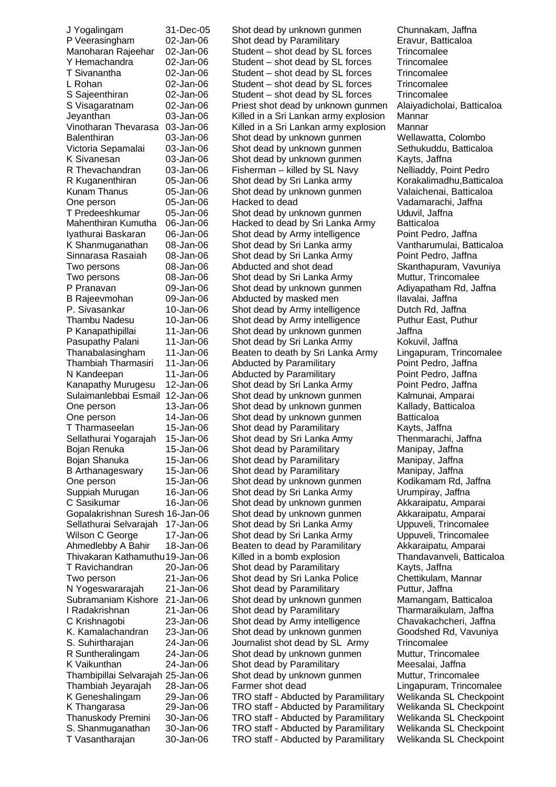Balenthiran 03-Jan-06 Shot dead by unknown gunmen Thambipillai Selvarajah 25-Jan-06 Shot dead by unknown gunmen T Vasantharajan 30-Jan-06 TRO staff - Abducted by Paramilitary Welikanda SL Checkpoint

J Yogalingam 31-Dec-05 Shot dead by unknown gunmen Chunnakam, Jaffna P Veerasingham 02-Jan-06 Shot dead by Paramilitary Eravur, Batticaloa Manoharan Rajeehar 02-Jan-06 Student – shot dead by SL forces Trincomalee Y Hemachandra 
and 2-Jan-06 Student – shot dead by SL forces Trincomalee T Sivanantha 02-Jan-06 Student – shot dead by SL forces Trincomalee L Rohan **02-Jan-06** Student – shot dead by SL forces Trincomalee S Sajeenthiran 02-Jan-06 Student – shot dead by SL forces Trincomalee S Visagaratnam 02-Jan-06 Priest shot dead by unknown gunmen Alaiyadicholai, Batticaloa Jeyanthan 03-Jan-06 Killed in a Sri Lankan army explosion Mannar Vinotharan Thevarasa 03-Jan-06 Killed in a Sri Lankan army explosion Mannar<br>Balenthiran 603-Jan-06 Shot dead by unknown gunmen Wellawatta, Colombo Victoria Sepamalai 03-Jan-06 Shot dead by unknown gunmen Sethukuddu, Batticaloa K Sivanesan 03-Jan-06 Shot dead by unknown gunmen Kayts, Jaffna R Thevachandran 03-Jan-06 Fisherman – killed by SL Navy Nelliaddy, Point Pedro R Kuganenthiran dia-Jan-06 Shot dead by Sri Lanka army Korakalimadhu, Batticaloa Kunam Thanus 05-Jan-06 Shot dead by unknown gunmen Valaichenai, Batticaloa One person 05-Jan-06 Hacked to dead Vadamarachi, Jaffna T Predeeshkumar 05-Jan-06 Shot dead by unknown gunmen Uduvil, Jaffna Hacked to dead by Sri Lanka Army Iyathurai Baskaran 06-Jan-06 Shot dead by Army intelligence Point Pedro, Jaffna K Shanmuganathan 08-Jan-06 Shot dead by Sri Lanka army Vantharumulai, Batticaloa Sinnarasa Rasaiah 08-Jan-06 Shot dead by Sri Lanka Army Point Pedro, Jaffna Two persons 08-Jan-06 Abducted and shot dead Skanthapuram, Vavuniya Two persons 08-Jan-06 Shot dead by Sri Lanka Army Muttur, Trincomalee P Pranavan 09-Jan-06 Shot dead by unknown gunmen Adiyapatham Rd, Jaffna B Rajeevmohan and 09-Jan-06 Abducted by masked men Ilavalai, Jaffna P. Sivasankar 10-Jan-06 Shot dead by Army intelligence Dutch Rd, Jaffna Thambu Nadesu 10-Jan-06 Shot dead by Army intelligence Puthur East, Puthur P Kanapathipillai 11-Jan-06 Shot dead by unknown gunmen Jaffna Pasupathy Palani 11-Jan-06 Shot dead by Sri Lanka Army Kokuvil, Jaffna<br>Thanabalasingham 11-Jan-06 Beaten to death by Sri Lanka Army Lingapuram. Tr Thanabalasingham 11-Jan-06 Beaten to death by Sri Lanka Army Lingapuram, Trincomalee Thambiah Tharmasiri 11-Jan-06 Abducted by Paramilitary Point Pedro, Jaffna N Kandeepan 11-Jan-06 Abducted by Paramilitary Point Pedro, Jaffna Kanapathy Murugesu 12-Jan-06 Shot dead by Sri Lanka Army Point Pedro, Jaffna Sulaimanlebbai Esmail 12-Jan-06 Shot dead by unknown gunmen Kalmunai, Amparai One person 13-Jan-06 Shot dead by unknown gunmen Kallady, Batticaloa One person 14-Jan-06 Shot dead by unknown gunmen Batticaloa T Tharmaseelan 15-Jan-06 Shot dead by Paramilitary Kayts, Jaffna Sellathurai Yogarajah 15-Jan-06 Shot dead by Sri Lanka Army Thenmarachi, Jaffna Bojan Renuka 15-Jan-06 Shot dead by Paramilitary Manipay, Jaffna Bojan Shanuka 15-Jan-06 Shot dead by Paramilitary Manipay, Jaffna B Arthanageswary 15-Jan-06 Shot dead by Paramilitary Manipay, Jaffna One person **15-Jan-06** Shot dead by unknown gunmen Kodikamam Rd, Jaffna Suppiah Murugan 16-Jan-06 Shot dead by Sri Lanka Army Urumpiray, Jaffna C Sasikumar 16-Jan-06 Shot dead by unknown gunmen Akkaraipatu, Amparai Gopalakrishnan Suresh 16-Jan-06 Shot dead by unknown gunmen Akkaraipatu, Amparai Sellathurai Selvarajah 17-Jan-06 Shot dead by Sri Lanka Army Uppuveli, Trincomalee Wilson C George 17-Jan-06 Shot dead by Sri Lanka Army Uppuveli, Trincomalee Ahmedlebby A Bahir 18-Jan-06 Beaten to dead by Paramilitary Akkaraipatu, Amparai Thivakaran Kathamuthu19-Jan-06 Killed in a bomb explosion Thandavanveli, Batticaloa T Ravichandran and 20-Jan-06 Shot dead by Paramilitary and Kayts, Jaffna<br>Two person and 21-Jan-06 Shot dead by Sri Lanka Police and Chettikulam. I Two person 21-Jan-06 Shot dead by Sri Lanka Police Chettikulam, Mannar<br>
N Yogeswararaiah 21-Jan-06 Shot dead by Paramilitary Puttur. Jaffna N Yogeswararajah 21-Jan-06 Shot dead by Paramilitary Puttur, Jaffna Subramaniam Kishore 21-Jan-06 Shot dead by unknown gunmen Mamangam, Batticaloa I Radakrishnan 21-Jan-06 Shot dead by Paramilitary Tharmaraikulam, Jaffna C Krishnagobi 23-Jan-06 Shot dead by Army intelligence Chavakachcheri, Jaffna K. Kamalachandran 23-Jan-06 Shot dead by unknown gunmen Goodshed Rd, Vavuniya S. Suhirtharajan 24-Jan-06 Journalist shot dead by SL Army Trincomalee R Suntheralingam 24-Jan-06 Shot dead by unknown gunmen Muttur, Trincomalee K Vaikunthan 24-Jan-06 Shot dead by Paramilitary Meesalai, Jaffna Thambiah Jeyarajah 28-Jan-06 Farmer shot dead Lingapuram, Trincomalee K Geneshalingam 29-Jan-06 TRO staff - Abducted by Paramilitary Welikanda SL Checkpoint K Thangarasa 29-Jan-06 TRO staff - Abducted by Paramilitary Welikanda SL Checkpoint Thanuskody Premini 30-Jan-06 TRO staff - Abducted by Paramilitary Welikanda SL Checkpoint S. Shanmuganathan 30-Jan-06 TRO staff - Abducted by Paramilitary Welikanda SL Checkpoint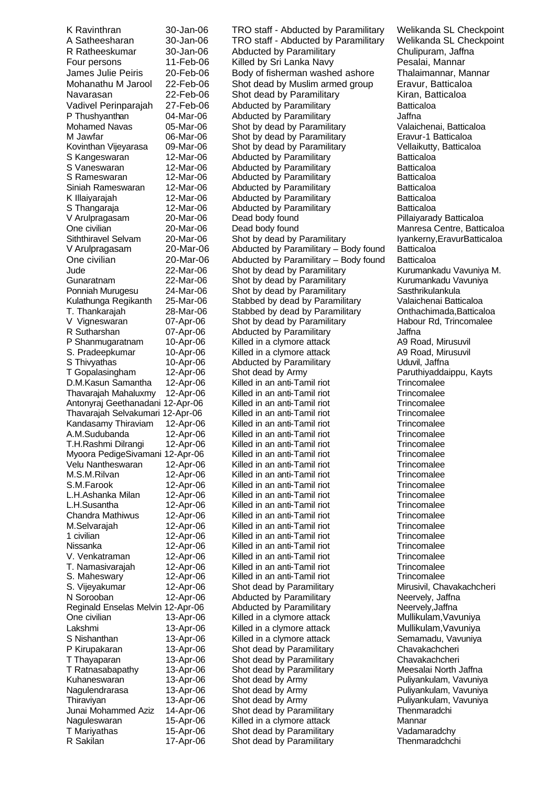Mohamed Navas 05-Mar-06 Shot by dead by Paramilitary T. Namasivarajah 12-Apr-06 Killed in an anti-Tamil riot T Ratnasabapathy 13-Apr-06 Shot dead by Paramilitary<br>Kuhaneswaran 13-Apr-06 Shot dead by Army T Mariyathas 15-Apr-06 Shot dead by Paramilitary 17-Apr-06 Shot dead by Paramilitary 1988 Vadamaradchy<br>
R Sakilan 17-Apr-06 Shot dead by Paramilitary 1988 Thenmaradchchi

K Ravinthran 30-Jan-06 TRO staff - Abducted by Paramilitary Welikanda SL Checkpoint A Satheesharan 30-Jan-06 TRO staff - Abducted by Paramilitary Welikanda SL Checkpoint R Ratheeskumar 30-Jan-06 Abducted by Paramilitary Chulipuram, Jaffna Four persons 11-Feb-06 Killed by Sri Lanka Navy Pesalai, Mannar James Julie Peiris 20-Feb-06 Body of fisherman washed ashore Thalaimannar, Mannar Mohanathu M Jarool 22-Feb-06 Shot dead by Muslim armed group Eravur, Batticaloa Navarasan 22-Feb-06 Shot dead by Paramilitary Kiran, Batticaloa Vadivel Perinparajah 27-Feb-06 Abducted by Paramilitary Batticaloa P Thushyanthan  $04\text{-}$ Mar-06 Abducted by Paramilitary and all underlying Uaffna<br>
Mohamed Navas (05-Mar-06 Shot by dead by Paramilitary Valaichenai, Batticaloa M Jawfar 06-Mar-06 Shot by dead by Paramilitary Eravur-1 Batticaloa Kovinthan Vijeyarasa 09-Mar-06 Shot by dead by Paramilitary Vellaikutty, Batticaloa S Kangeswaran 12-Mar-06 Abducted by Paramilitary Batticaloa S Vaneswaran 12-Mar-06 Abducted by Paramilitary and Batticaloa<br>S Rameswaran 12-Mar-06 Abducted by Paramilitary and Batticaloa Abducted by Paramilitary Siniah Rameswaran 12-Mar-06 Abducted by Paramilitary Batticaloa K Illaiyarajah **12-Mar-06** Abducted by Paramilitary **Batticaloa** S Thangaraja **12-Mar-06** Abducted by Paramilitary **Batticaloa** V Arulpragasam 20-Mar-06 Dead body found Pillaiyarady Batticaloa One civilian 20-Mar-06 Dead body found Manresa Centre, Batticaloa Siththiravel Selvam 20-Mar-06 Shot by dead by Paramilitary **Italy 1988** Iyankerny,EravurBatticaloa V Arulpragasam 20-Mar-06 Abducted by Paramilitary – Body found Batticaloa One civilian 20-Mar-06 Abducted by Paramilitary – Body found Batticaloa Jude 22-Mar-06 Shot by dead by Paramilitary Kurumankadu Vavuniya M.<br>Gunaratnam 22-Mar-06 Shot by dead by Paramilitary Kurumankadu Vavuniya Shot by dead by Paramilitary Ponniah Murugesu 24-Mar-06 Shot by dead by Paramilitary Sasthrikulankula Kulathunga Regikanth 25-Mar-06 Stabbed by dead by Paramilitary Valaichenai Batticaloa T. Thankarajah a 28-Mar-06 Stabbed by dead by Paramilitary Chthachimada,Batticaloa<br>V Vigneswaran 67-Apr-06 Shot by dead by Paramilitary Habour Rd, Trincomalee 07-Apr-06 Shot by dead by Paramilitary R Sutharshan **107-Apr-06** Abducted by Paramilitary **Constructs Additional Abducted by Paramilitary** A9 Road, Mirusuvil P Shanmugaratnam 10-Apr-06 Killed in a clymore attack P Shanmugaratnam 10-Apr-06 Killed in a clymore attack A9 Road, Mirusuvil S. Pradeepkumar 10-Apr-06 Killed in a clymore attack A9 Road, Mirusuvil S. Pradeepkumar 10-Apr-06 Killed in a clymore attack A9 Road, Mirusus 10-Apr-06 Abducted by Paramilitary Changestan Changestan Changestan Changestan Changestan Changestan Changestan Changestan Changestan Changestan Changes Abducted by Paramilitary T Gopalasingham 12-Apr-06 Shot dead by Army Paruthiyaddaippu, Kayts D.M.Kasun Samantha 12-Apr-06 Killed in an anti-Tamil riot Trincomalee Thavarajah Mahaluxmy 12-Apr-06 Killed in an anti-Tamil riot Trincomalee<br>Trincomalee Antonyrai Geethanadani 12-Apr-06 Killed in an anti-Tamil riot Trincomalee Antonyraj Geethanadani 12-Apr-06 Killed in an anti-Tamil riot Trincomalee Thavarajah Selvakumari 12-Apr-06 Killed in an anti-Tamil riot Trincomalee<br>Kandasamy Thiraviam 12-Apr-06 Killed in an anti-Tamil riot Trincomalee Kandasamy Thiraviam 12-Apr-06 Killed in an anti-Tamil riot Trincomalee<br>A.M.Sudubanda 12-Apr-06 Killed in an anti-Tamil riot Trincomalee A.M.Sudubanda 12-Apr-06 Killed in an anti-Tamil riot Trincomalee Killed in an anti-Tamil riot Trincomalee<br>Trincomalee Killed in an anti-Tamil riot Trincomalee Myoora PedigeSivamani 12-Apr-06 Killed in an anti-Tamil riot Trincomalee<br>Velu Nantheswaran 12-Apr-06 Killed in an anti-Tamil riot Trincomalee Killed in an anti-Tamil riot M.S.M.Rilvan 12-Apr-06 Killed in an anti-Tamil riot Trincomalee S.M.Farook 12-Apr-06 Killed in an anti-Tamil riot Trincomalee<br>
L.H.Ashanka Milan 12-Apr-06 Killed in an anti-Tamil riot Trincomalee L.H.Ashanka Milan 12-Apr-06 Killed in an anti-Tamil riot Trincomalee L.H.Susantha 12-Apr-06 Killed in an anti-Tamil riot Trincomalee 12-Apr-06 Killed in an anti-Tamil riot Trincomalee<br>12-Apr-06 Killed in an anti-Tamil riot Trincomalee M.Selvarajah 12-Apr-06 Killed in an anti-Tamil riot Trincomalee<br>1 civilian 12-Apr-06 Killed in an anti-Tamil riot Trincomalee 1 Killed in an anti-Tamil riot Trincomalee<br>12-April 12-April riot Trincomalee Nissanka 12-Apr-06 Killed in an anti-Tamil riot Trincomalee 12-Apr-06 Killed in an anti-Tamil riot Trincomalee<br>12-Apr-06 Killed in an anti-Tamil riot Trincomalee S. Maheswary **12-Apr-06** Killed in an anti-Tamil riot Trincomalee S. Vijeyakumar 12-Apr-06 Shot dead by Paramilitary Mirusivil, Chavakachcheri N Sorooban 12-Apr-06 Abducted by Paramilitary Neervely, Jaffna<br>
Reginald Enselas Melvin 12-Apr-06 Abducted by Paramilitary Neervely, Jaffna Reginald Enselas Melvin 12-Apr-06 Abducted by Paramilitary Meervely, Jaffna<br>
One civilian 13-Apr-06 Killed in a clymore attack Mullikulam, Vavuniya Killed in a clymore attack Lakshmi 13-Apr-06 Killed in a clymore attack Mullikulam, Vavuniya S Nishanthan **13-Apr-06** Killed in a clymore attack Semamadu, Vavuniya P Kirupakaran 13-Apr-06 Shot dead by Paramilitary Chavakachcheri T Thayaparan 13-Apr-06 Shot dead by Paramilitary Chavakachcheri 13-Apr-06 Shot dead by Army Puliyankulam, Vavuniya<br>13-Apr-06 Shot dead by Army Puliyankulam, Vavuniya Nagulendrarasa 13-Apr-06 Shot dead by Army Puliyankulam, Vavuniya Thiraviyan 13-Apr-06 Shot dead by Army Puliyankulam, Vavuniya Junai Mohammed Aziz 14-Apr-06 Shot dead by Paramilitary Thenmaradchi Naguleswaran 15-Apr-06 Killed in a clymore attack Mannar Shot dead by Paramilitary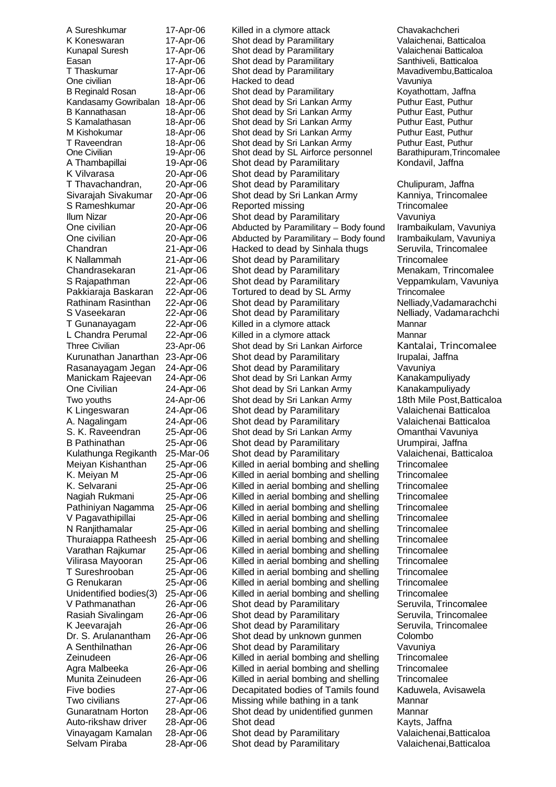K Koneswaran 17-Apr-06 Shot dead by Paramilitary Easan 17-Apr-06 Shot dead by Paramilitary<br>T Thaskumar 17-Apr-06 Shot dead by Paramilitary K Vilvarasa 20-Apr-06 Shot dead by Paramilitary S Vaseekaran 22-Apr-06 Shot dead by Paramilitary K Jeevarajah 26-Apr-06 Shot dead by Paramilitary Selvam Piraba 28-Apr-06 Shot dead by Paramilitary Valaichenai, Batticaloa

A Sureshkumar and the 17-Apr-06 and Killed in a clymore attack and the Chavakachcheri Chavakachcheri<br>
K Koneswaran and the 17-Apr-06 and Shot dead by Paramilitary and the Chavakachenai, Batticaloa Kunapal Suresh 17-Apr-06 Shot dead by Paramilitary Valaichenai Batticaloa<br>Easan 17-Apr-06 Shot dead by Paramilitary Santhiveli, Batticaloa T Thaskumar 17-Apr-06 Shot dead by Paramilitary Mavadivembu,Batticaloa One civilian 18-Apr-06 Hacked to dead Vavuniya B Reginald Rosan 18-Apr-06 Shot dead by Paramilitary Koyathottam, Jaffna Kandasamy Gowribalan 18-Apr-06 Shot dead by Sri Lankan Army Puthur East, Puthur B Kannathasan 18-Apr-06 Shot dead by Sri Lankan Army Puthur East, Puthur S Kamalathasan 18-Apr-06 Shot dead by Sri Lankan Army Puthur East, Puthur Puthur East, Puthur Fast Puthur Army M Kishokumar 18-Apr-06 Shot dead by Sri Lankan Army Puthur East, Puthur<br>T Raveendran 18-Apr-06 Shot dead by Sri Lankan Army Puthur East, Puthur Shot dead by Sri Lankan Army Puthur East, Puthur<br>Shot dead by SL Airforce personnel Barathipuram Trincomalee One Civilian 19-Apr-06 Shot dead by SL Airforce personnel A Thambapillai 19-Apr-06 Shot dead by Paramilitary Kondavil, Jaffna T Thavachandran, 20-Apr-06 Shot dead by Paramilitary Chulipuram, Jaffna Sivarajah Sivakumar 20-Apr-06 Shot dead by Sri Lankan Army Kanniya, Trincomalee<br>S Rameshkumar 20-Apr-06 Reported missing Trincomalee 20-Apr-06 Reported missing Trincomalee Ilum Nizar 20-Apr-06 Shot dead by Paramilitary Vavuniya One civilian 20-Apr-06 Abducted by Paramilitary – Body found Irambaikulam, Vavuniya One civilian 20-Apr-06 Abducted by Paramilitary – Body found Irambaikulam, Vavuniya Chandran 21-Apr-06 Hacked to dead by Sinhala thugs Seruvila, Trincomalee K Nallammah 21-Apr-06 Shot dead by Paramilitary Trincomalee<br>Chandrasekaran 21-Apr-06 Shot dead by Paramilitary Menakam, T Chandrasekaran 21-Apr-06 Shot dead by Paramilitary Menakam, Trincomalee S Rajapathman 22-Apr-06 Shot dead by Paramilitary Veppamkulam, Vavuniya Pakkiaraja Baskaran 22-Apr-06 Tortured to dead by SL Army Trincomalee<br>Rathinam Rasinthan 22-Apr-06 Shot dead by Paramilitary Nelliady.Vac Rathinam Rasinthan 22-Apr-06 Shot dead by Paramilitary **Nelliady,Vadamarachchi**<br>S Vaseekaran 22-Apr-06 Shot dead by Paramilitary Nelliady, Vadamarachchi T Gunanayagam 22-Apr-06 Killed in a clymore attack Mannar L Chandra Perumal 22-Apr-06 Killed in a clymore attack Mannar Three Civilian 23-Apr-06 Shot dead by Sri Lankan Airforce Kantalai, Trincomalee Kurunathan Janarthan 23-Apr-06 Shot dead by Paramilitary **Irupalai, Jaffna** Rasanayagam Jegan 24-Apr-06 Shot dead by Paramilitary Vavuniya<br>Manickam Rajeevan 24-Apr-06 Shot dead by Sri Lankan Army Kanakam Shot dead by Sri Lankan Army Kanakampuliyady One Civilian 24-Apr-06 Shot dead by Sri Lankan Army Kanakampuliyady Two youths 24-Apr-06 Shot dead by Sri Lankan Army 18th Mile Post,Batticaloa K Lingeswaran 24-Apr-06 Shot dead by Paramilitary Valaichenai Batticaloa A. Nagalingam 24-Apr-06 Shot dead by Paramilitary Valaichenai Batticaloa S. K. Raveendran 25-Apr-06 Shot dead by Sri Lankan Army Omanthai Vavuniya B Pathinathan 25-Apr-06 Shot dead by Paramilitary Urumpirai, Jaffna Kulathunga Regikanth 25-Mar-06 Shot dead by Paramilitary Valaichenai, Batticaloa Meiyan Kishanthan 25-Apr-06 Killed in aerial bombing and shelling Trincomalee K. Meiyan M 25-Apr-06 Killed in aerial bombing and shelling Trincomalee K. Selvarani 25-Apr-06 Killed in aerial bombing and shelling Trincomalee Nagiah Rukmani 25-Apr-06 Killed in aerial bombing and shelling Trincomalee<br>Pathiniyan Nagamma 25-Apr-06 Killed in aerial bombing and shelling Trincomalee Pathiniyan Nagamma 25-Apr-06 Killed in aerial bombing and shelling Trincomalee V Pagavathipillai 25-Apr-06 Killed in aerial bombing and shelling N Ranjithamalar 25-Apr-06 Killed in aerial bombing and shelling Trincomalee Thuraiappa Ratheesh 25-Apr-06 Killed in aerial bombing and shelling Trincomalee Varathan Rajkumar 25-Apr-06 Killed in aerial bombing and shelling Trincomalee Vilirasa Mayooran 25-Apr-06 Killed in aerial bombing and shelling Trincomalee T Sureshrooban 25-Apr-06 Killed in aerial bombing and shelling Trincomalee G Renukaran 25-Apr-06 Killed in aerial bombing and shelling Trincomalee Unidentified bodies(3) 25-Apr-06 Killed in aerial bombing and shelling Trincomalee V Pathmanathan 26-Apr-06 Shot dead by Paramilitary Seruvila, Trincomalee Rasiah Sivalingam 26-Apr-06 Shot dead by Paramilitary Seruvila, Trincomalee<br>K Jeevarajah 26-Apr-06 Shot dead by Paramilitary Seruvila, Trincomalee Dr. S. Arulanantham 26-Apr-06 Shot dead by unknown gunmen Colombo A Senthilnathan 26-Apr-06 Shot dead by Paramilitary Vavuniya Zeinudeen 26-Apr-06 Killed in aerial bombing and shelling Trincomalee Agra Malbeeka 26-Apr-06 Killed in aerial bombing and shelling Trincomalee Munita Zeinudeen 26-Apr-06 Killed in aerial bombing and shelling Trincomalee Five bodies 27-Apr-06 Decapitated bodies of Tamils found Kaduwela, Avisawela Two civilians 27-Apr-06 Missing while bathing in a tank Mannar Gunaratnam Horton 28-Apr-06 Shot dead by unidentified gunmen Mannar Auto-rikshaw driver 28-Apr-06 Shot dead<br>Vinayagam Kamalan 28-Apr-06 Shot dead by Paramilitary Valaichenai, E Vinayagam Kamalan 28-Apr-06 Shot dead by Paramilitary Valaichenai,Batticaloa